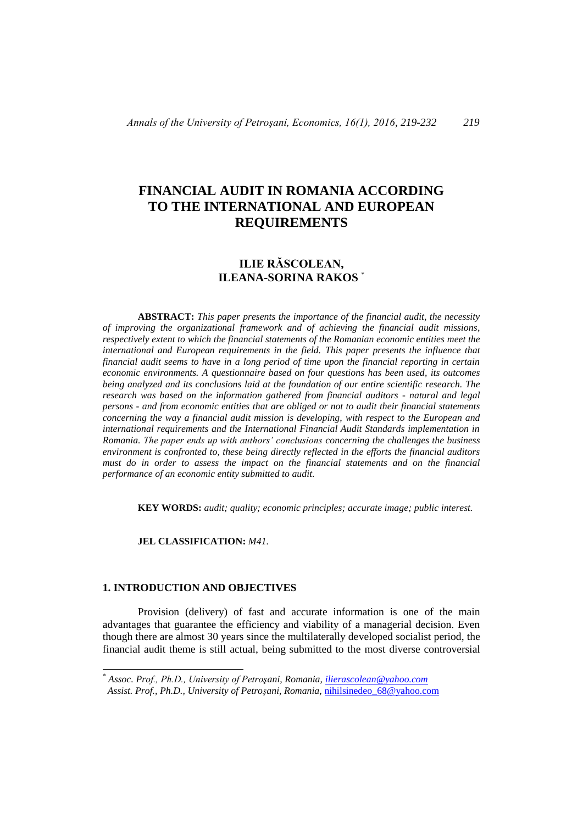# **FINANCIAL AUDIT IN ROMANIA ACCORDING TO THE INTERNATIONAL AND EUROPEAN REQUIREMENTS**

# **ILIE RĂSCOLEAN, ILEANA-SORINA RAKOS** \*

**ABSTRACT:** *This paper presents the importance of the financial audit, the necessity of improving the organizational framework and of achieving the financial audit missions, respectively extent to which the financial statements of the Romanian economic entities meet the international and European requirements in the field. This paper presents the influence that financial audit seems to have in a long period of time upon the financial reporting in certain economic environments. A questionnaire based on four questions has been used, its outcomes being analyzed and its conclusions laid at the foundation of our entire scientific research. The research was based on the information gathered from financial auditors - natural and legal persons - and from economic entities that are obliged or not to audit their financial statements concerning the way a financial audit mission is developing, with respect to the European and international requirements and the International Financial Audit Standards implementation in Romania. The paper ends up with authors' conclusions concerning the challenges the business environment is confronted to, these being directly reflected in the efforts the financial auditors must do in order to assess the impact on the financial statements and on the financial performance of an economic entity submitted to audit.*

**KEY WORDS:** *audit; quality; economic principles; accurate image; public interest.*

**JEL CLASSIFICATION:** *M41.*

### **1. INTRODUCTION AND OBJECTIVES**

-

Provision (delivery) of fast and accurate information is one of the main advantages that guarantee the efficiency and viability of a managerial decision. Even though there are almost 30 years since the multilaterally developed socialist period, the financial audit theme is still actual, being submitted to the most diverse controversial

*<sup>\*</sup> Assoc. Prof., Ph.D., University of Petroşani, Romania, [ilierascolean@yahoo.com](mailto:ilierascolean@yahoo.com) Assist. Prof., Ph.D., University of Petroşani, Romania,* [nihilsinedeo\\_68@yahoo.com](mailto:nihilsinedeo_68@yahoo.com)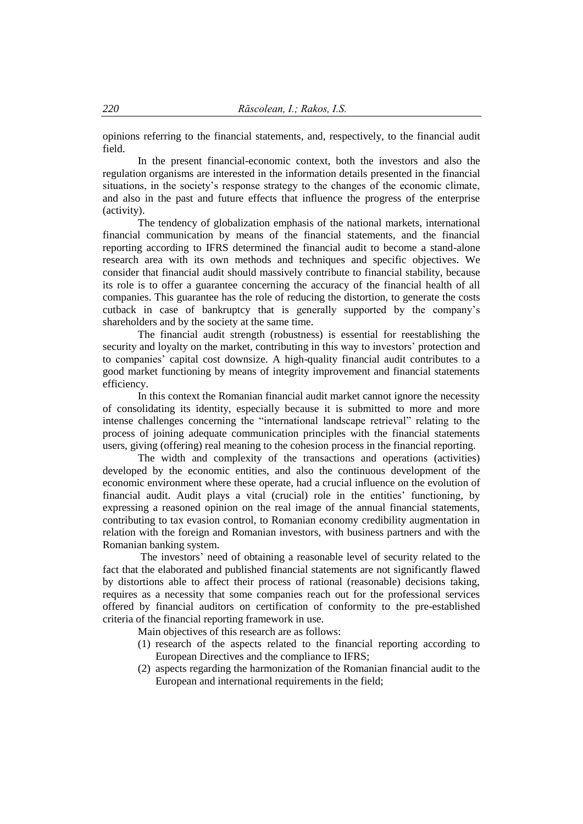opinions referring to the financial statements, and, respectively, to the financial audit field.

In the present financial-economic context, both the investors and also the regulation organisms are interested in the information details presented in the financial situations, in the society's response strategy to the changes of the economic climate, and also in the past and future effects that influence the progress of the enterprise (activity).

The tendency of globalization emphasis of the national markets, international financial communication by means of the financial statements, and the financial reporting according to IFRS determined the financial audit to become a stand-alone research area with its own methods and techniques and specific objectives. We consider that financial audit should massively contribute to financial stability, because its role is to offer a guarantee concerning the accuracy of the financial health of all companies. This guarantee has the role of reducing the distortion, to generate the costs cutback in case of bankruptcy that is generally supported by the company's shareholders and by the society at the same time.

The financial audit strength (robustness) is essential for reestablishing the security and loyalty on the market, contributing in this way to investors' protection and to companies' capital cost downsize. A high-quality financial audit contributes to a good market functioning by means of integrity improvement and financial statements efficiency.

In this context the Romanian financial audit market cannot ignore the necessity of consolidating its identity, especially because it is submitted to more and more intense challenges concerning the "international landscape retrieval" relating to the process of joining adequate communication principles with the financial statements users, giving (offering) real meaning to the cohesion process in the financial reporting.

The width and complexity of the transactions and operations (activities) developed by the economic entities, and also the continuous development of the economic environment where these operate, had a crucial influence on the evolution of financial audit. Audit plays a vital (crucial) role in the entities' functioning, by expressing a reasoned opinion on the real image of the annual financial statements, contributing to tax evasion control, to Romanian economy credibility augmentation in relation with the foreign and Romanian investors, with business partners and with the Romanian banking system.

The investors' need of obtaining a reasonable level of security related to the fact that the elaborated and published financial statements are not significantly flawed by distortions able to affect their process of rational (reasonable) decisions taking, requires as a necessity that some companies reach out for the professional services offered by financial auditors on certification of conformity to the pre-established criteria of the financial reporting framework in use.

Main objectives of this research are as follows:

- (1) research of the aspects related to the financial reporting according to European Directives and the compliance to IFRS;
- (2) aspects regarding the harmonization of the Romanian financial audit to the European and international requirements in the field: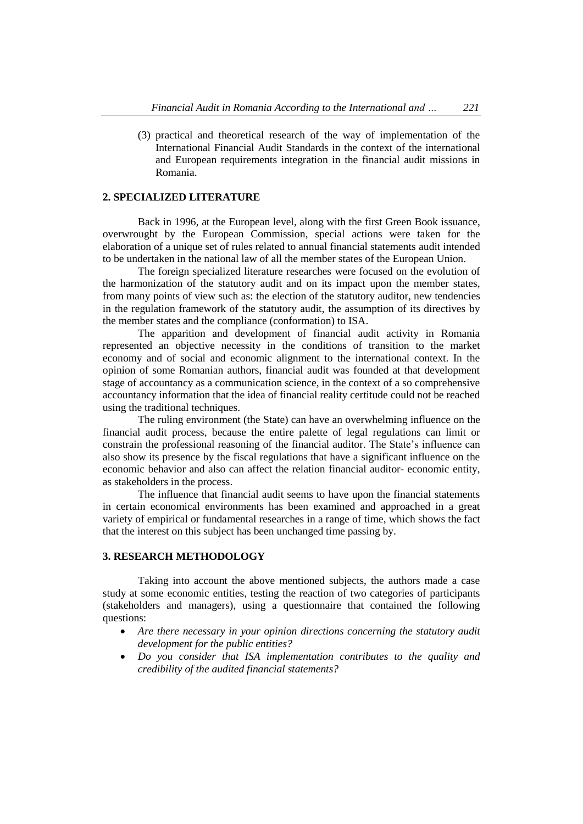(3) practical and theoretical research of the way of implementation of the International Financial Audit Standards in the context of the international and European requirements integration in the financial audit missions in Romania.

# **2. SPECIALIZED LITERATURE**

 Back in 1996, at the European level, along with the first Green Book issuance, overwrought by the European Commission, special actions were taken for the elaboration of a unique set of rules related to annual financial statements audit intended to be undertaken in the national law of all the member states of the European Union.

The foreign specialized literature researches were focused on the evolution of the harmonization of the statutory audit and on its impact upon the member states, from many points of view such as: the election of the statutory auditor, new tendencies in the regulation framework of the statutory audit, the assumption of its directives by the member states and the compliance (conformation) to ISA.

The apparition and development of financial audit activity in Romania represented an objective necessity in the conditions of transition to the market economy and of social and economic alignment to the international context. In the opinion of some Romanian authors, financial audit was founded at that development stage of accountancy as a communication science, in the context of a so comprehensive accountancy information that the idea of financial reality certitude could not be reached using the traditional techniques.

The ruling environment (the State) can have an overwhelming influence on the financial audit process, because the entire palette of legal regulations can limit or constrain the professional reasoning of the financial auditor. The State's influence can also show its presence by the fiscal regulations that have a significant influence on the economic behavior and also can affect the relation financial auditor- economic entity, as stakeholders in the process.

The influence that financial audit seems to have upon the financial statements in certain economical environments has been examined and approached in a great variety of empirical or fundamental researches in a range of time, which shows the fact that the interest on this subject has been unchanged time passing by.

### **3. RESEARCH METHODOLOGY**

Taking into account the above mentioned subjects, the authors made a case study at some economic entities, testing the reaction of two categories of participants (stakeholders and managers), using a questionnaire that contained the following questions:

- *Are there necessary in your opinion directions concerning the statutory audit development for the public entities?*
- *Do you consider that ISA implementation contributes to the quality and credibility of the audited financial statements?*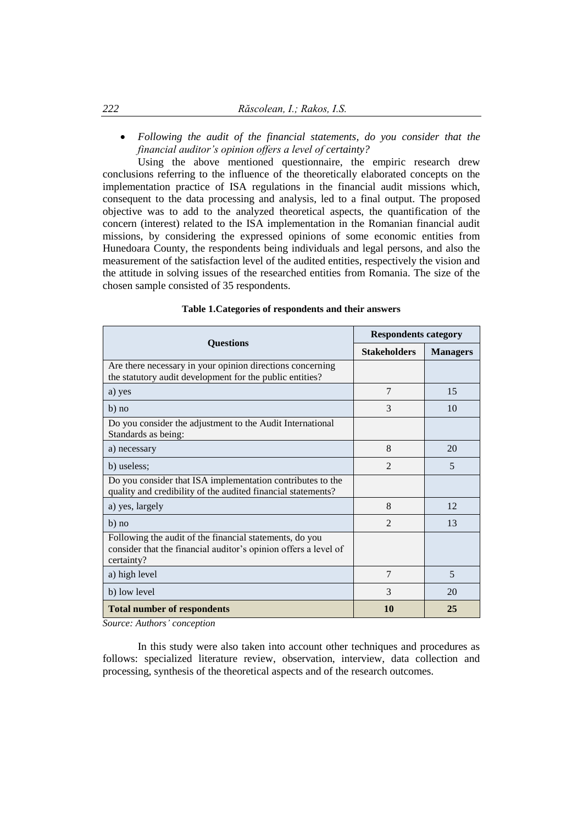*Following the audit of the financial statements, do you consider that the financial auditor's opinion offers a level of certainty?*

Using the above mentioned questionnaire, the empiric research drew conclusions referring to the influence of the theoretically elaborated concepts on the implementation practice of ISA regulations in the financial audit missions which, consequent to the data processing and analysis, led to a final output. The proposed objective was to add to the analyzed theoretical aspects, the quantification of the concern (interest) related to the ISA implementation in the Romanian financial audit missions, by considering the expressed opinions of some economic entities from Hunedoara County, the respondents being individuals and legal persons, and also the measurement of the satisfaction level of the audited entities, respectively the vision and the attitude in solving issues of the researched entities from Romania. The size of the chosen sample consisted of 35 respondents.

| <b>Questions</b>                                                                                                                         | <b>Respondents category</b> |                 |
|------------------------------------------------------------------------------------------------------------------------------------------|-----------------------------|-----------------|
|                                                                                                                                          | <b>Stakeholders</b>         | <b>Managers</b> |
| Are there necessary in your opinion directions concerning<br>the statutory audit development for the public entities?                    |                             |                 |
| a) yes                                                                                                                                   | 7                           | 15              |
| b) no                                                                                                                                    | 3                           | 10              |
| Do you consider the adjustment to the Audit International<br>Standards as being:                                                         |                             |                 |
| a) necessary                                                                                                                             | 8                           | 20              |
| b) useless;                                                                                                                              | $\overline{2}$              | 5               |
| Do you consider that ISA implementation contributes to the<br>quality and credibility of the audited financial statements?               |                             |                 |
| a) yes, largely                                                                                                                          | 8                           | 12              |
| b) no                                                                                                                                    | $\mathfrak{D}$              | 13              |
| Following the audit of the financial statements, do you<br>consider that the financial auditor's opinion offers a level of<br>certainty? |                             |                 |
| a) high level                                                                                                                            | $\overline{7}$              | 5               |
| b) low level                                                                                                                             | 3                           | 20              |
| <b>Total number of respondents</b>                                                                                                       | 10                          | 25              |

### **Table 1.Categories of respondents and their answers**

*Source: Authors' conception*

In this study were also taken into account other techniques and procedures as follows: specialized literature review, observation, interview, data collection and processing, synthesis of the theoretical aspects and of the research outcomes.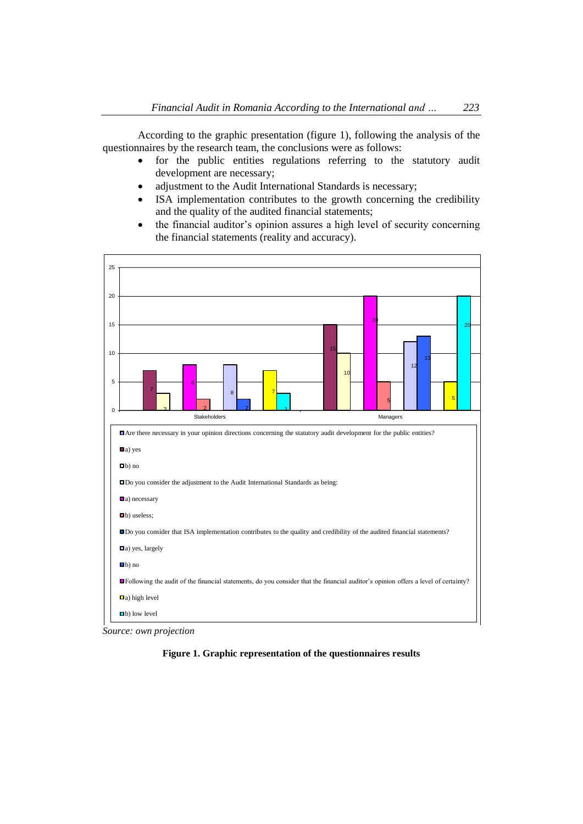According to the graphic presentation (figure 1), following the analysis of the questionnaires by the research team, the conclusions were as follows:

- for the public entities regulations referring to the statutory audit development are necessary;
- adjustment to the Audit International Standards is necessary;
- ISA implementation contributes to the growth concerning the credibility and the quality of the audited financial statements;
- the financial auditor's opinion assures a high level of security concerning the financial statements (reality and accuracy).



*Source: own projection*

**Figure 1. Graphic representation of the questionnaires results**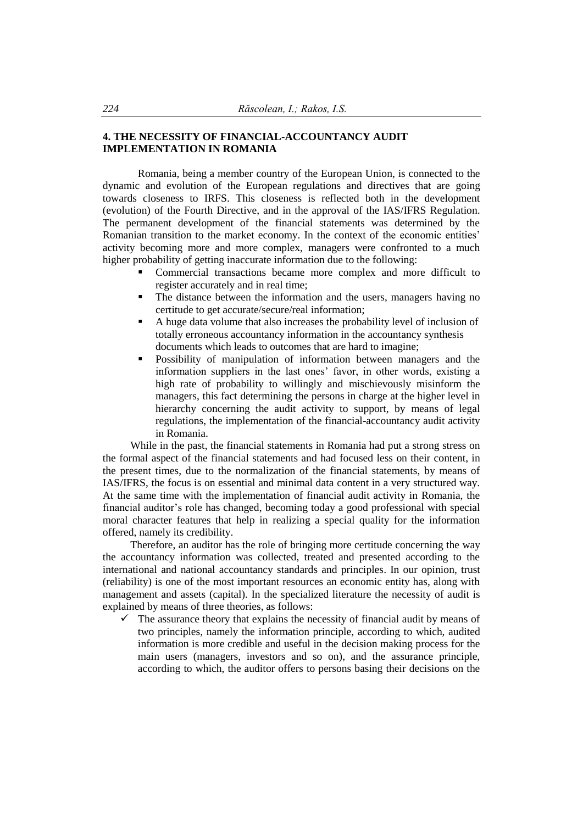# **4. THE NECESSITY OF FINANCIAL-ACCOUNTANCY AUDIT IMPLEMENTATION IN ROMANIA**

Romania, being a member country of the European Union, is connected to the dynamic and evolution of the European regulations and directives that are going towards closeness to IRFS. This closeness is reflected both in the development (evolution) of the Fourth Directive, and in the approval of the IAS/IFRS Regulation. The permanent development of the financial statements was determined by the Romanian transition to the market economy. In the context of the economic entities' activity becoming more and more complex, managers were confronted to a much higher probability of getting inaccurate information due to the following:

- Commercial transactions became more complex and more difficult to register accurately and in real time;
- The distance between the information and the users, managers having no certitude to get accurate/secure/real information;
- A huge data volume that also increases the probability level of inclusion of totally erroneous accountancy information in the accountancy synthesis documents which leads to outcomes that are hard to imagine;
- Possibility of manipulation of information between managers and the information suppliers in the last ones' favor, in other words, existing a high rate of probability to willingly and mischievously misinform the managers, this fact determining the persons in charge at the higher level in hierarchy concerning the audit activity to support, by means of legal regulations, the implementation of the financial-accountancy audit activity in Romania.

While in the past, the financial statements in Romania had put a strong stress on the formal aspect of the financial statements and had focused less on their content, in the present times, due to the normalization of the financial statements, by means of IAS/IFRS, the focus is on essential and minimal data content in a very structured way. At the same time with the implementation of financial audit activity in Romania, the financial auditor's role has changed, becoming today a good professional with special moral character features that help in realizing a special quality for the information offered, namely its credibility.

Therefore, an auditor has the role of bringing more certitude concerning the way the accountancy information was collected, treated and presented according to the international and national accountancy standards and principles. In our opinion, trust (reliability) is one of the most important resources an economic entity has, along with management and assets (capital). In the specialized literature the necessity of audit is explained by means of three theories, as follows:

 $\checkmark$  The assurance theory that explains the necessity of financial audit by means of two principles, namely the information principle, according to which, audited information is more credible and useful in the decision making process for the main users (managers, investors and so on), and the assurance principle, according to which, the auditor offers to persons basing their decisions on the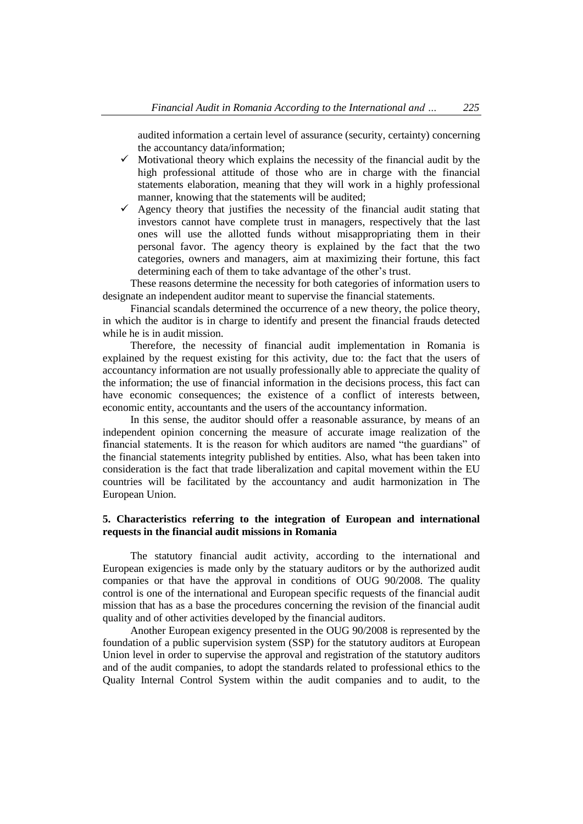audited information a certain level of assurance (security, certainty) concerning the accountancy data/information;

- $\checkmark$  Motivational theory which explains the necessity of the financial audit by the high professional attitude of those who are in charge with the financial statements elaboration, meaning that they will work in a highly professional manner, knowing that the statements will be audited;
- $\checkmark$  Agency theory that justifies the necessity of the financial audit stating that investors cannot have complete trust in managers, respectively that the last ones will use the allotted funds without misappropriating them in their personal favor. The agency theory is explained by the fact that the two categories, owners and managers, aim at maximizing their fortune, this fact determining each of them to take advantage of the other's trust.

These reasons determine the necessity for both categories of information users to designate an independent auditor meant to supervise the financial statements.

Financial scandals determined the occurrence of a new theory, the police theory, in which the auditor is in charge to identify and present the financial frauds detected while he is in audit mission.

Therefore, the necessity of financial audit implementation in Romania is explained by the request existing for this activity, due to: the fact that the users of accountancy information are not usually professionally able to appreciate the quality of the information; the use of financial information in the decisions process, this fact can have economic consequences; the existence of a conflict of interests between, economic entity, accountants and the users of the accountancy information.

In this sense, the auditor should offer a reasonable assurance, by means of an independent opinion concerning the measure of accurate image realization of the financial statements. It is the reason for which auditors are named "the guardians" of the financial statements integrity published by entities. Also, what has been taken into consideration is the fact that trade liberalization and capital movement within the EU countries will be facilitated by the accountancy and audit harmonization in The European Union.

# **5. Characteristics referring to the integration of European and international requests in the financial audit missions in Romania**

The statutory financial audit activity, according to the international and European exigencies is made only by the statuary auditors or by the authorized audit companies or that have the approval in conditions of OUG 90/2008. The quality control is one of the international and European specific requests of the financial audit mission that has as a base the procedures concerning the revision of the financial audit quality and of other activities developed by the financial auditors.

Another European exigency presented in the OUG 90/2008 is represented by the foundation of a public supervision system (SSP) for the statutory auditors at European Union level in order to supervise the approval and registration of the statutory auditors and of the audit companies, to adopt the standards related to professional ethics to the Quality Internal Control System within the audit companies and to audit, to the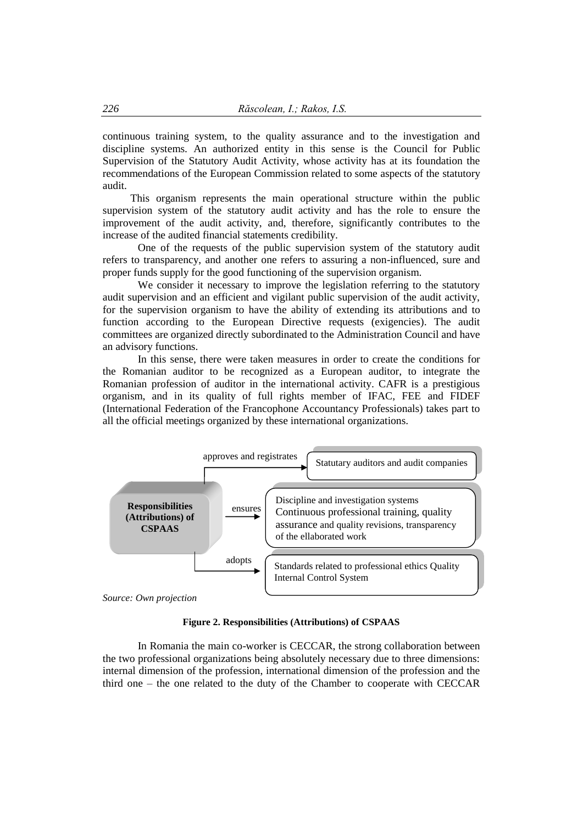continuous training system, to the quality assurance and to the investigation and discipline systems. An authorized entity in this sense is the Council for Public Supervision of the Statutory Audit Activity, whose activity has at its foundation the recommendations of the European Commission related to some aspects of the statutory audit.

This organism represents the main operational structure within the public supervision system of the statutory audit activity and has the role to ensure the improvement of the audit activity, and, therefore, significantly contributes to the increase of the audited financial statements credibility.

One of the requests of the public supervision system of the statutory audit refers to transparency, and another one refers to assuring a non-influenced, sure and proper funds supply for the good functioning of the supervision organism.

We consider it necessary to improve the legislation referring to the statutory audit supervision and an efficient and vigilant public supervision of the audit activity, for the supervision organism to have the ability of extending its attributions and to function according to the European Directive requests (exigencies). The audit committees are organized directly subordinated to the Administration Council and have an advisory functions.

In this sense, there were taken measures in order to create the conditions for the Romanian auditor to be recognized as a European auditor, to integrate the Romanian profession of auditor in the international activity. CAFR is a prestigious organism, and in its quality of full rights member of IFAC, FEE and FIDEF (International Federation of the Francophone Accountancy Professionals) takes part to all the official meetings organized by these international organizations.



# **Figure 2. Responsibilities (Attributions) of CSPAAS**

In Romania the main co-worker is CECCAR, the strong collaboration between the two professional organizations being absolutely necessary due to three dimensions: internal dimension of the profession, international dimension of the profession and the third one – the one related to the duty of the Chamber to cooperate with CECCAR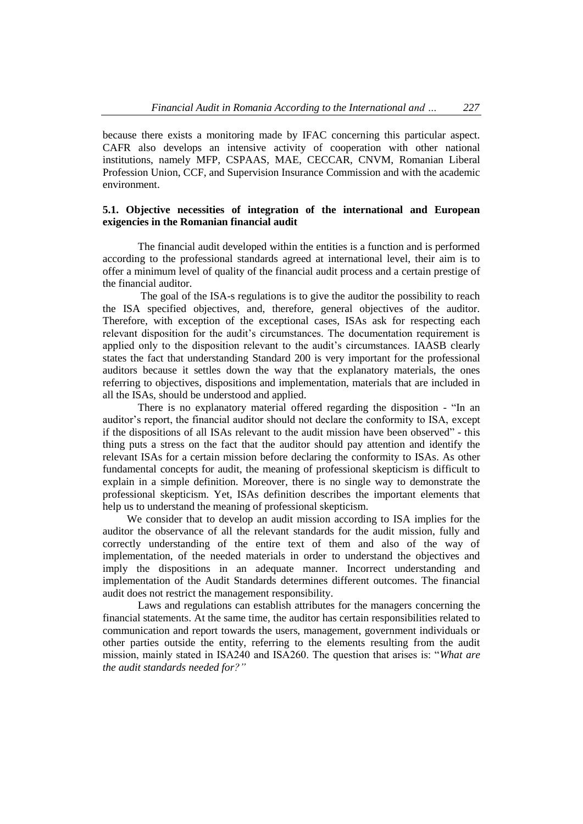because there exists a monitoring made by IFAC concerning this particular aspect. CAFR also develops an intensive activity of cooperation with other national institutions, namely MFP, CSPAAS, MAE, CECCAR, CNVM, Romanian Liberal Profession Union, CCF, and Supervision Insurance Commission and with the academic environment.

# **5.1. Objective necessities of integration of the international and European exigencies in the Romanian financial audit**

The financial audit developed within the entities is a function and is performed according to the professional standards agreed at international level, their aim is to offer a minimum level of quality of the financial audit process and a certain prestige of the financial auditor.

The goal of the ISA-s regulations is to give the auditor the possibility to reach the ISA specified objectives, and, therefore, general objectives of the auditor. Therefore, with exception of the exceptional cases, ISAs ask for respecting each relevant disposition for the audit's circumstances. The documentation requirement is applied only to the disposition relevant to the audit's circumstances. IAASB clearly states the fact that understanding Standard 200 is very important for the professional auditors because it settles down the way that the explanatory materials, the ones referring to objectives, dispositions and implementation, materials that are included in all the ISAs, should be understood and applied.

There is no explanatory material offered regarding the disposition - "In an auditor's report, the financial auditor should not declare the conformity to ISA, except if the dispositions of all ISAs relevant to the audit mission have been observed" - this thing puts a stress on the fact that the auditor should pay attention and identify the relevant ISAs for a certain mission before declaring the conformity to ISAs. As other fundamental concepts for audit, the meaning of professional skepticism is difficult to explain in a simple definition. Moreover, there is no single way to demonstrate the professional skepticism. Yet, ISAs definition describes the important elements that help us to understand the meaning of professional skepticism.

 We consider that to develop an audit mission according to ISA implies for the auditor the observance of all the relevant standards for the audit mission, fully and correctly understanding of the entire text of them and also of the way of implementation, of the needed materials in order to understand the objectives and imply the dispositions in an adequate manner. Incorrect understanding and implementation of the Audit Standards determines different outcomes. The financial audit does not restrict the management responsibility.

Laws and regulations can establish attributes for the managers concerning the financial statements. At the same time, the auditor has certain responsibilities related to communication and report towards the users, management, government individuals or other parties outside the entity, referring to the elements resulting from the audit mission, mainly stated in ISA240 and ISA260. The question that arises is: "*What are the audit standards needed for?"*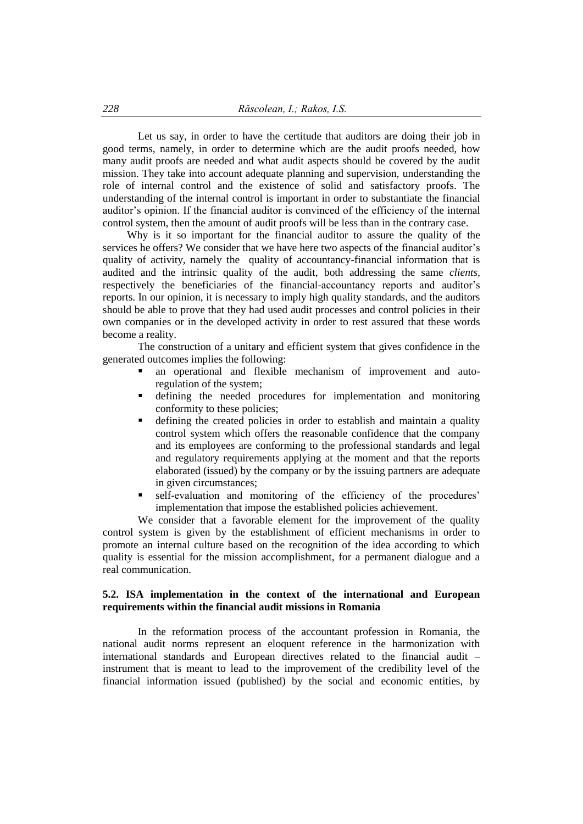Let us say, in order to have the certitude that auditors are doing their job in good terms, namely, in order to determine which are the audit proofs needed, how many audit proofs are needed and what audit aspects should be covered by the audit mission. They take into account adequate planning and supervision, understanding the role of internal control and the existence of solid and satisfactory proofs. The understanding of the internal control is important in order to substantiate the financial auditor's opinion. If the financial auditor is convinced of the efficiency of the internal control system, then the amount of audit proofs will be less than in the contrary case.

 Why is it so important for the financial auditor to assure the quality of the services he offers? We consider that we have here two aspects of the financial auditor's quality of activity, namely the quality of accountancy-financial information that is audited and the intrinsic quality of the audit, both addressing the same *clients,*  respectively the beneficiaries of the financial-accountancy reports and auditor's reports. In our opinion, it is necessary to imply high quality standards, and the auditors should be able to prove that they had used audit processes and control policies in their own companies or in the developed activity in order to rest assured that these words become a reality.

The construction of a unitary and efficient system that gives confidence in the generated outcomes implies the following:

- an operational and flexible mechanism of improvement and autoregulation of the system;
- defining the needed procedures for implementation and monitoring conformity to these policies;
- defining the created policies in order to establish and maintain a quality control system which offers the reasonable confidence that the company and its employees are conforming to the professional standards and legal and regulatory requirements applying at the moment and that the reports elaborated (issued) by the company or by the issuing partners are adequate in given circumstances;
- self-evaluation and monitoring of the efficiency of the procedures' implementation that impose the established policies achievement.

We consider that a favorable element for the improvement of the quality control system is given by the establishment of efficient mechanisms in order to promote an internal culture based on the recognition of the idea according to which quality is essential for the mission accomplishment, for a permanent dialogue and a real communication.

# **5.2. ISA implementation in the context of the international and European requirements within the financial audit missions in Romania**

In the reformation process of the accountant profession in Romania, the national audit norms represent an eloquent reference in the harmonization with international standards and European directives related to the financial audit – instrument that is meant to lead to the improvement of the credibility level of the financial information issued (published) by the social and economic entities, by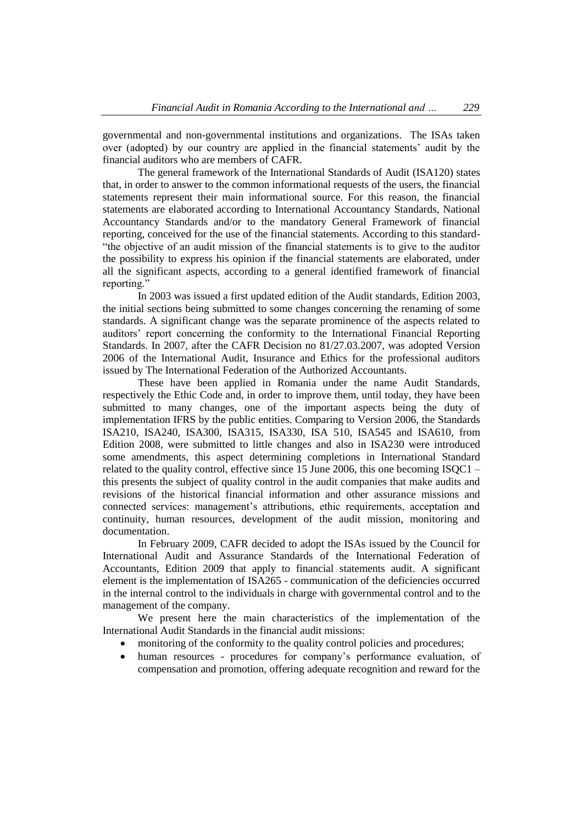governmental and non-governmental institutions and organizations. The ISAs taken over (adopted) by our country are applied in the financial statements' audit by the financial auditors who are members of CAFR.

The general framework of the International Standards of Audit (ISA120) states that, in order to answer to the common informational requests of the users, the financial statements represent their main informational source. For this reason, the financial statements are elaborated according to International Accountancy Standards, National Accountancy Standards and/or to the mandatory General Framework of financial reporting, conceived for the use of the financial statements. According to this standard- "the objective of an audit mission of the financial statements is to give to the auditor the possibility to express his opinion if the financial statements are elaborated, under all the significant aspects, according to a general identified framework of financial reporting."

In 2003 was issued a first updated edition of the Audit standards, Edition 2003, the initial sections being submitted to some changes concerning the renaming of some standards. A significant change was the separate prominence of the aspects related to auditors' report concerning the conformity to the International Financial Reporting Standards. In 2007, after the CAFR Decision no 81/27.03.2007, was adopted Version 2006 of the International Audit, Insurance and Ethics for the professional auditors issued by The International Federation of the Authorized Accountants.

These have been applied in Romania under the name Audit Standards, respectively the Ethic Code and, in order to improve them, until today, they have been submitted to many changes, one of the important aspects being the duty of implementation IFRS by the public entities. Comparing to Version 2006, the Standards ISA210, ISA240, ISA300, ISA315, ISA330, ISA 510, ISA545 and ISA610, from Edition 2008, were submitted to little changes and also in ISA230 were introduced some amendments, this aspect determining completions in International Standard related to the quality control, effective since 15 June 2006, this one becoming ISQC1 – this presents the subject of quality control in the audit companies that make audits and revisions of the historical financial information and other assurance missions and connected services: management's attributions, ethic requirements, acceptation and continuity, human resources, development of the audit mission, monitoring and documentation.

In February 2009, CAFR decided to adopt the ISAs issued by the Council for International Audit and Assurance Standards of the International Federation of Accountants, Edition 2009 that apply to financial statements audit. A significant element is the implementation of ISA265 - communication of the deficiencies occurred in the internal control to the individuals in charge with governmental control and to the management of the company.

We present here the main characteristics of the implementation of the International Audit Standards in the financial audit missions:

- monitoring of the conformity to the quality control policies and procedures;
- human resources procedures for company's performance evaluation, of compensation and promotion, offering adequate recognition and reward for the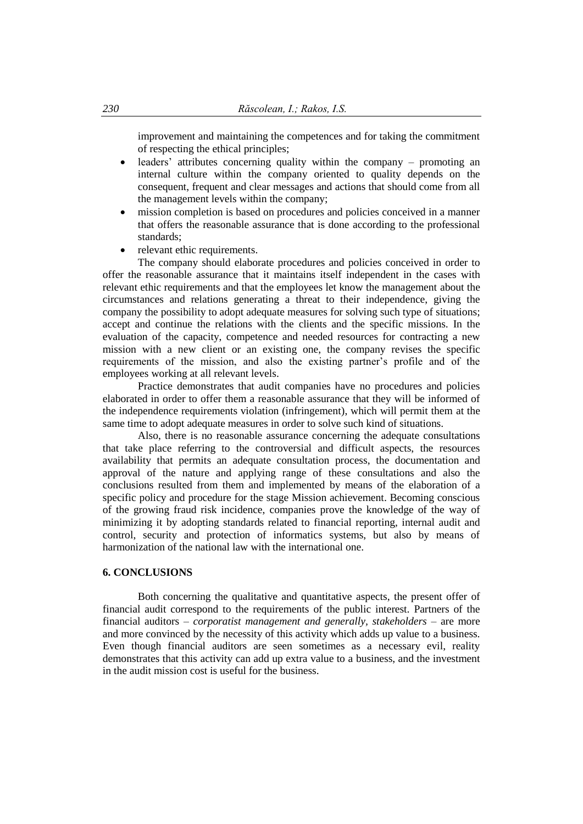improvement and maintaining the competences and for taking the commitment of respecting the ethical principles;

- leaders' attributes concerning quality within the company promoting an internal culture within the company oriented to quality depends on the consequent, frequent and clear messages and actions that should come from all the management levels within the company;
- mission completion is based on procedures and policies conceived in a manner that offers the reasonable assurance that is done according to the professional standards;
- relevant ethic requirements.

The company should elaborate procedures and policies conceived in order to offer the reasonable assurance that it maintains itself independent in the cases with relevant ethic requirements and that the employees let know the management about the circumstances and relations generating a threat to their independence, giving the company the possibility to adopt adequate measures for solving such type of situations; accept and continue the relations with the clients and the specific missions. In the evaluation of the capacity, competence and needed resources for contracting a new mission with a new client or an existing one, the company revises the specific requirements of the mission, and also the existing partner's profile and of the employees working at all relevant levels.

Practice demonstrates that audit companies have no procedures and policies elaborated in order to offer them a reasonable assurance that they will be informed of the independence requirements violation (infringement), which will permit them at the same time to adopt adequate measures in order to solve such kind of situations.

Also, there is no reasonable assurance concerning the adequate consultations that take place referring to the controversial and difficult aspects, the resources availability that permits an adequate consultation process, the documentation and approval of the nature and applying range of these consultations and also the conclusions resulted from them and implemented by means of the elaboration of a specific policy and procedure for the stage Mission achievement. Becoming conscious of the growing fraud risk incidence, companies prove the knowledge of the way of minimizing it by adopting standards related to financial reporting, internal audit and control, security and protection of informatics systems, but also by means of harmonization of the national law with the international one.

# **6. CONCLUSIONS**

Both concerning the qualitative and quantitative aspects, the present offer of financial audit correspond to the requirements of the public interest. Partners of the financial auditors – *corporatist management and generally, stakeholders* – are more and more convinced by the necessity of this activity which adds up value to a business. Even though financial auditors are seen sometimes as a necessary evil, reality demonstrates that this activity can add up extra value to a business, and the investment in the audit mission cost is useful for the business.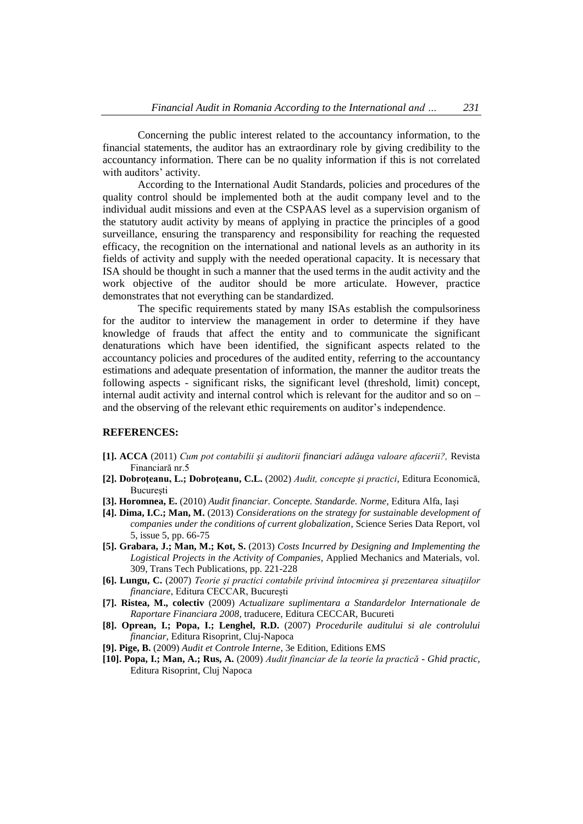Concerning the public interest related to the accountancy information, to the financial statements, the auditor has an extraordinary role by giving credibility to the accountancy information. There can be no quality information if this is not correlated with auditors' activity.

According to the International Audit Standards, policies and procedures of the quality control should be implemented both at the audit company level and to the individual audit missions and even at the CSPAAS level as a supervision organism of the statutory audit activity by means of applying in practice the principles of a good surveillance, ensuring the transparency and responsibility for reaching the requested efficacy, the recognition on the international and national levels as an authority in its fields of activity and supply with the needed operational capacity. It is necessary that ISA should be thought in such a manner that the used terms in the audit activity and the work objective of the auditor should be more articulate. However, practice demonstrates that not everything can be standardized.

The specific requirements stated by many ISAs establish the compulsoriness for the auditor to interview the management in order to determine if they have knowledge of frauds that affect the entity and to communicate the significant denaturations which have been identified, the significant aspects related to the accountancy policies and procedures of the audited entity, referring to the accountancy estimations and adequate presentation of information, the manner the auditor treats the following aspects - significant risks, the significant level (threshold, limit) concept, internal audit activity and internal control which is relevant for the auditor and so on – and the observing of the relevant ethic requirements on auditor's independence.

#### **REFERENCES:**

- **[1]. ACCA** (2011) *Cum pot contabilii şi auditorii financiari adăuga valoare afacerii?,* Revista Financiară nr.5
- **[2]. Dobroţeanu, L.; Dobroţeanu, C.L.** (2002) *Audit, concepte şi practici*, Editura Economică, **Bucuresti**
- **[3]. Horomnea, E.** (2010) *Audit financiar. Concepte. Standarde. Norme,* Editura Alfa, Iaşi
- **[4]. Dima, I.C.; Man, M.** (2013) *[Considerations on the strategy for](http://scholar.google.com/scholar?cluster=17256330750297824164&hl=en&oi=scholarr) sustainable development of [companies under the conditions of current globalization](http://scholar.google.com/scholar?cluster=17256330750297824164&hl=en&oi=scholarr)*, Science Series Data Report, vol 5, issue 5, pp. 66-75
- **[5]. Grabara, J.; Man, M.; Kot, S.** (2013) *[Costs Incurred by Designing and Implementing the](http://www.scientific.net/AMM.309.221)  [Logistical Projects in the Activity of Companies](http://www.scientific.net/AMM.309.221)*, Applied Mechanics and Materials, vol. 309, Trans Tech Publications, pp. 221-228
- **[6]. Lungu, C.** (2007) *Teorie şi practici contabile privind întocmirea şi prezentarea situaţiilor financiare*, Editura CECCAR, Bucureşti
- **[7]. Ristea, M., colectiv** (2009) *Actualizare suplimentara a Standardelor Internationale de Raportare Financiara 2008*, traducere, Editura CECCAR, Bucureti
- **[8]. Oprean, I.; Popa, I.; Lenghel, R.D.** (2007) *Procedurile auditului si ale controlului financiar*, Editura Risoprint, Cluj-Napoca
- **[9]. Pige, B.** (2009) *Audit et Controle Interne*, 3e Edition, Editions EMS
- **[10]. Popa, I.; Man, A.; Rus, A.** (2009) *Audit financiar de la teorie la practică - Ghid practic,*  Editura Risoprint, Cluj Napoca